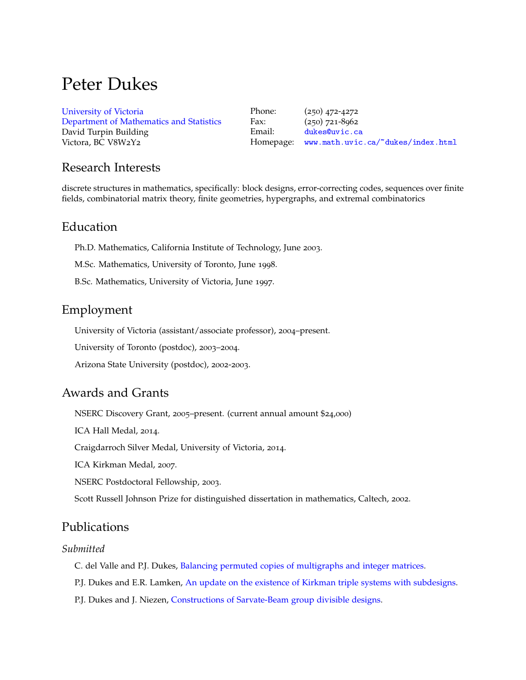# Peter Dukes

| University of Victoria                   | Phone: | $(250)$ 472-4272                             |
|------------------------------------------|--------|----------------------------------------------|
| Department of Mathematics and Statistics | Fax:   | $(250)$ 721-8962                             |
| David Turpin Building                    | Email: | dukes@uvic.ca                                |
| Victora, BC V8W2Y2                       |        | Homepage: www.math.uvic.ca/~dukes/index.html |

## Research Interests

discrete structures in mathematics, specifically: block designs, error-correcting codes, sequences over finite fields, combinatorial matrix theory, finite geometries, hypergraphs, and extremal combinatorics

## Education

Ph.D. Mathematics, California Institute of Technology, June 2003.

M.Sc. Mathematics, University of Toronto, June 1998.

B.Sc. Mathematics, University of Victoria, June 1997.

# Employment

University of Victoria (assistant/associate professor), 2004–present.

University of Toronto (postdoc), 2003–2004.

Arizona State University (postdoc), 2002-2003.

# Awards and Grants

NSERC Discovery Grant, 2005–present. (current annual amount \$24,000)

ICA Hall Medal, 2014.

Craigdarroch Silver Medal, University of Victoria, 2014.

ICA Kirkman Medal, 2007.

NSERC Postdoctoral Fellowship, 2003.

Scott Russell Johnson Prize for distinguished dissertation in mathematics, Caltech, 2002.

## Publications

### *Submitted*

C. del Valle and P.J. Dukes, [Balancing permuted copies of multigraphs and integer matrices.](https://arxiv.org/abs/2201.00897)

P.J. Dukes and E.R. Lamken, [An update on the existence of Kirkman triple systems with subdesigns.](https://arxiv.org/abs/2110.07874)

P.J. Dukes and J. Niezen, [Constructions of Sarvate-Beam group divisible designs.](https://arxiv.org/abs/2201.00865)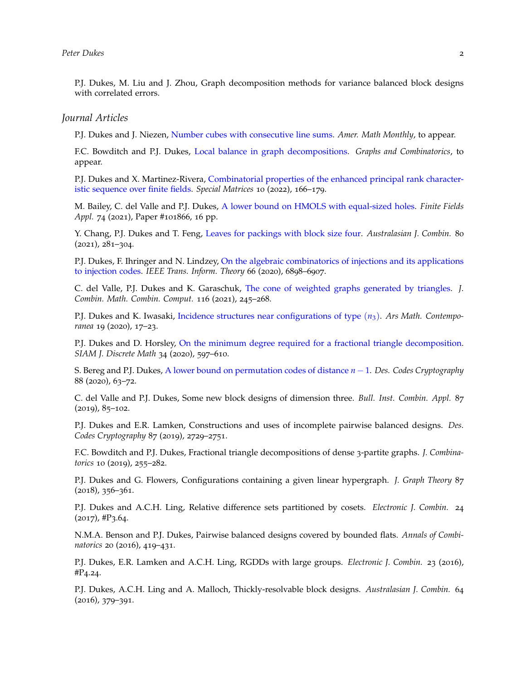P.J. Dukes, M. Liu and J. Zhou, Graph decomposition methods for variance balanced block designs with correlated errors.

#### *Journal Articles*

P.J. Dukes and J. Niezen, [Number cubes with consecutive line sums.](https://arxiv.org/abs/2106.12306) *Amer. Math Monthly*, to appear.

F.C. Bowditch and P.J. Dukes, [Local balance in graph decompositions.](https://arxiv.org/abs/2002.08895) *Graphs and Combinatorics*, to appear.

P.J. Dukes and X. Martinez-Rivera, [Combinatorial properties of the enhanced principal rank character](https://arxiv.org/abs/2106.06756)[istic sequence over finite fields.](https://arxiv.org/abs/2106.06756) *Special Matrices* 10 (2022), 166–179.

M. Bailey, C. del Valle and P.J. Dukes, [A lower bound on HMOLS with equal-sized holes.](https://arxiv.org/abs/2008.08788) *Finite Fields Appl.* 74 (2021), Paper #101866, 16 pp.

Y. Chang, P.J. Dukes and T. Feng, [Leaves for packings with block size four.](https://arxiv.org/abs/1905.12151) *Australasian J. Combin.* 80 (2021), 281–304.

P.J. Dukes, F. Ihringer and N. Lindzey, [On the algebraic combinatorics of injections and its applications](https://arxiv.org/abs/1912.04500) [to injection codes.](https://arxiv.org/abs/1912.04500) *IEEE Trans. Inform. Theory* 66 (2020), 6898–6907.

C. del Valle, P.J. Dukes and K. Garaschuk, [The cone of weighted graphs generated by triangles.](https://arxiv.org/abs/1608.06017) *J. Combin. Math. Combin. Comput.* 116 (2021), 245–268.

P.J. Dukes and K. Iwasaki, [Incidence structures near configurations of type](http://arxiv.org/abs/1801.10326) (*n*3). *Ars Math. Contemporanea* 19 (2020), 17–23.

P.J. Dukes and D. Horsley, [On the minimum degree required for a fractional triangle decomposition.](https://arxiv.org/abs/1908.11076) *SIAM J. Discrete Math* 34 (2020), 597–610.

S. Bereg and P.J. Dukes, [A lower bound on permutation codes of distance](https://arxiv.org/abs/1902.04153) *n* −1. *Des. Codes Cryptography* 88 (2020), 63–72.

C. del Valle and P.J. Dukes, Some new block designs of dimension three. *Bull. Inst. Combin. Appl.* 87  $(2019), 85 - 102.$ 

P.J. Dukes and E.R. Lamken, Constructions and uses of incomplete pairwise balanced designs. *Des. Codes Cryptography* 87 (2019), 2729–2751.

F.C. Bowditch and P.J. Dukes, Fractional triangle decompositions of dense 3-partite graphs. *J. Combinatorics* 10 (2019), 255–282.

P.J. Dukes and G. Flowers, Configurations containing a given linear hypergraph. *J. Graph Theory* 87  $(2018), 356 - 361.$ 

P.J. Dukes and A.C.H. Ling, Relative difference sets partitioned by cosets. *Electronic J. Combin.* 24  $(2017)$ , #P3.64.

N.M.A. Benson and P.J. Dukes, Pairwise balanced designs covered by bounded flats. *Annals of Combinatorics* 20 (2016), 419–431.

P.J. Dukes, E.R. Lamken and A.C.H. Ling, RGDDs with large groups. *Electronic J. Combin.* 23 (2016), #P4.24.

P.J. Dukes, A.C.H. Ling and A. Malloch, Thickly-resolvable block designs. *Australasian J. Combin.* 64 (2016), 379–391.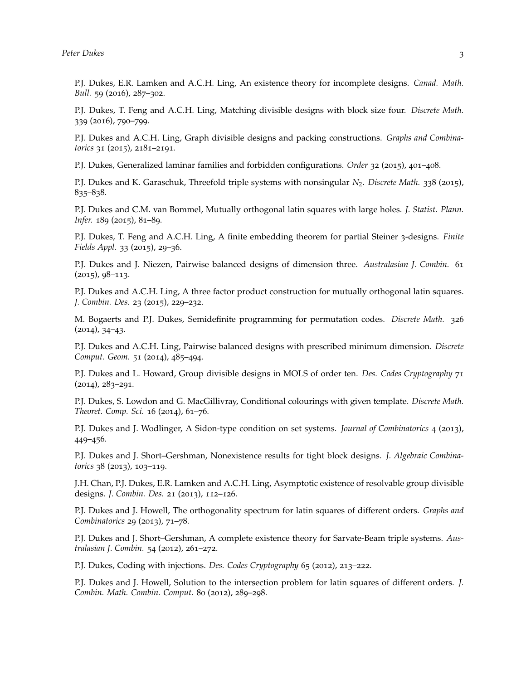*Peter Dukes* 3

P.J. Dukes, E.R. Lamken and A.C.H. Ling, An existence theory for incomplete designs. *Canad. Math. Bull.* 59 (2016), 287–302.

P.J. Dukes, T. Feng and A.C.H. Ling, Matching divisible designs with block size four. *Discrete Math.* 339 (2016), 790–799.

P.J. Dukes and A.C.H. Ling, Graph divisible designs and packing constructions. *Graphs and Combinatorics* 31 (2015), 2181–2191.

P.J. Dukes, Generalized laminar families and forbidden configurations. *Order* 32 (2015), 401–408.

P.J. Dukes and K. Garaschuk, Threefold triple systems with nonsingular *N*<sub>2</sub>. *Discrete Math.* 338 (2015), 835–838.

P.J. Dukes and C.M. van Bommel, Mutually orthogonal latin squares with large holes. *J. Statist. Plann. Infer.* 189 (2015), 81–89.

P.J. Dukes, T. Feng and A.C.H. Ling, A finite embedding theorem for partial Steiner 3-designs. *Finite Fields Appl.* 33 (2015), 29–36.

P.J. Dukes and J. Niezen, Pairwise balanced designs of dimension three. *Australasian J. Combin.* 61  $(2015)$ ,  $98-113$ .

P.J. Dukes and A.C.H. Ling, A three factor product construction for mutually orthogonal latin squares. *J. Combin. Des.* 23 (2015), 229–232.

M. Bogaerts and P.J. Dukes, Semidefinite programming for permutation codes. *Discrete Math.* 326 (2014), 34–43.

P.J. Dukes and A.C.H. Ling, Pairwise balanced designs with prescribed minimum dimension. *Discrete Comput. Geom.* 51 (2014), 485–494.

P.J. Dukes and L. Howard, Group divisible designs in MOLS of order ten. *Des. Codes Cryptography* 71  $(2014)$ ,  $283 - 291$ .

P.J. Dukes, S. Lowdon and G. MacGillivray, Conditional colourings with given template. *Discrete Math. Theoret. Comp. Sci.* 16 (2014), 61–76.

P.J. Dukes and J. Wodlinger, A Sidon-type condition on set systems. *Journal of Combinatorics* 4 (2013), 449–456.

P.J. Dukes and J. Short–Gershman, Nonexistence results for tight block designs. *J. Algebraic Combinatorics* 38 (2013), 103–119.

J.H. Chan, P.J. Dukes, E.R. Lamken and A.C.H. Ling, Asymptotic existence of resolvable group divisible designs. *J. Combin. Des.* 21 (2013), 112–126.

P.J. Dukes and J. Howell, The orthogonality spectrum for latin squares of different orders. *Graphs and Combinatorics* 29 (2013), 71–78.

P.J. Dukes and J. Short–Gershman, A complete existence theory for Sarvate-Beam triple systems. *Australasian J. Combin.* 54 (2012), 261–272.

P.J. Dukes, Coding with injections. *Des. Codes Cryptography* 65 (2012), 213–222.

P.J. Dukes and J. Howell, Solution to the intersection problem for latin squares of different orders. *J. Combin. Math. Combin. Comput.* 80 (2012), 289–298.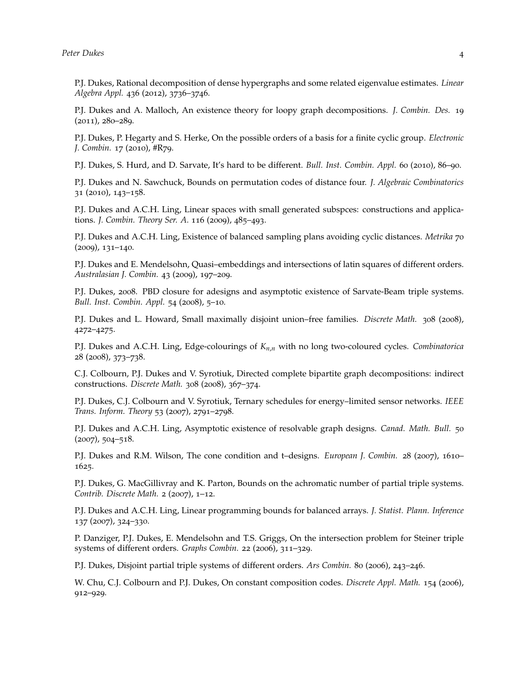P.J. Dukes, Rational decomposition of dense hypergraphs and some related eigenvalue estimates. *Linear Algebra Appl.* 436 (2012), 3736–3746.

P.J. Dukes and A. Malloch, An existence theory for loopy graph decompositions. *J. Combin. Des.* 19 (2011), 280–289.

P.J. Dukes, P. Hegarty and S. Herke, On the possible orders of a basis for a finite cyclic group. *Electronic J. Combin.* 17 (2010), #R79.

P.J. Dukes, S. Hurd, and D. Sarvate, It's hard to be different. *Bull. Inst. Combin. Appl.* 60 (2010), 86–90.

P.J. Dukes and N. Sawchuck, Bounds on permutation codes of distance four. *J. Algebraic Combinatorics* 31 (2010), 143–158.

P.J. Dukes and A.C.H. Ling, Linear spaces with small generated subspces: constructions and applications. *J. Combin. Theory Ser. A.* 116 (2009), 485–493.

P.J. Dukes and A.C.H. Ling, Existence of balanced sampling plans avoiding cyclic distances. *Metrika* 70 (2009), 131–140.

P.J. Dukes and E. Mendelsohn, Quasi–embeddings and intersections of latin squares of different orders. *Australasian J. Combin.* 43 (2009), 197–209.

P.J. Dukes, 2008. PBD closure for adesigns and asymptotic existence of Sarvate-Beam triple systems. *Bull. Inst. Combin. Appl.* 54 (2008), 5–10.

P.J. Dukes and L. Howard, Small maximally disjoint union–free families. *Discrete Math.* 308 (2008), 4272–4275.

P.J. Dukes and A.C.H. Ling, Edge-colourings of *Kn*,*<sup>n</sup>* with no long two-coloured cycles. *Combinatorica* 28 (2008), 373–738.

C.J. Colbourn, P.J. Dukes and V. Syrotiuk, Directed complete bipartite graph decompositions: indirect constructions. *Discrete Math.* 308 (2008), 367–374.

P.J. Dukes, C.J. Colbourn and V. Syrotiuk, Ternary schedules for energy–limited sensor networks. *IEEE Trans. Inform. Theory* 53 (2007), 2791–2798.

P.J. Dukes and A.C.H. Ling, Asymptotic existence of resolvable graph designs. *Canad. Math. Bull.* 50 (2007), 504–518.

P.J. Dukes and R.M. Wilson, The cone condition and t–designs. *European J. Combin.* 28 (2007), 1610– 1625.

P.J. Dukes, G. MacGillivray and K. Parton, Bounds on the achromatic number of partial triple systems. *Contrib. Discrete Math.* 2 (2007), 1–12.

P.J. Dukes and A.C.H. Ling, Linear programming bounds for balanced arrays. *J. Statist. Plann. Inference* 137 (2007), 324–330.

P. Danziger, P.J. Dukes, E. Mendelsohn and T.S. Griggs, On the intersection problem for Steiner triple systems of different orders. *Graphs Combin.* 22 (2006), 311–329.

P.J. Dukes, Disjoint partial triple systems of different orders. *Ars Combin.* 80 (2006), 243–246.

W. Chu, C.J. Colbourn and P.J. Dukes, On constant composition codes. *Discrete Appl. Math.* 154 (2006), 912–929.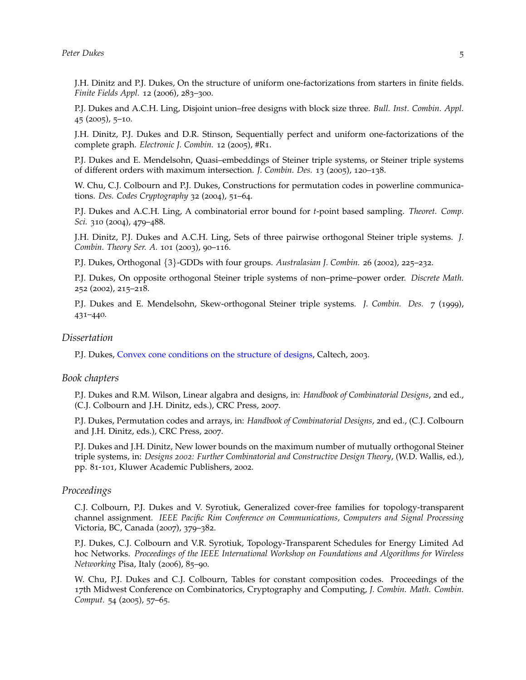J.H. Dinitz and P.J. Dukes, On the structure of uniform one-factorizations from starters in finite fields. *Finite Fields Appl.* 12 (2006), 283-300.

P.J. Dukes and A.C.H. Ling, Disjoint union–free designs with block size three. *Bull. Inst. Combin. Appl.* 45 (2005), 5–10.

J.H. Dinitz, P.J. Dukes and D.R. Stinson, Sequentially perfect and uniform one-factorizations of the complete graph. *Electronic J. Combin.* 12 (2005), #R1.

P.J. Dukes and E. Mendelsohn, Quasi–embeddings of Steiner triple systems, or Steiner triple systems of different orders with maximum intersection. *J. Combin. Des.* 13 (2005), 120–138.

W. Chu, C.J. Colbourn and P.J. Dukes, Constructions for permutation codes in powerline communications. *Des. Codes Cryptography* 32 (2004), 51–64.

P.J. Dukes and A.C.H. Ling, A combinatorial error bound for *t*-point based sampling. *Theoret. Comp. Sci.* 310 (2004), 479–488.

J.H. Dinitz, P.J. Dukes and A.C.H. Ling, Sets of three pairwise orthogonal Steiner triple systems. *J. Combin. Theory Ser. A.* 101 (2003), 90–116.

P.J. Dukes, Orthogonal {3}-GDDs with four groups. *Australasian J. Combin.* 26 (2002), 225–232.

P.J. Dukes, On opposite orthogonal Steiner triple systems of non–prime–power order. *Discrete Math.* 252 (2002), 215–218.

P.J. Dukes and E. Mendelsohn, Skew-orthogonal Steiner triple systems. *J. Combin. Des.* 7 (1999), 431–440.

#### *Dissertation*

P.J. Dukes, [Convex cone conditions on the structure of designs,](https://thesis.library.caltech.edu/2876) Caltech, 2003.

#### *Book chapters*

P.J. Dukes and R.M. Wilson, Linear algabra and designs, in: *Handbook of Combinatorial Designs*, 2nd ed., (C.J. Colbourn and J.H. Dinitz, eds.), CRC Press, 2007.

P.J. Dukes, Permutation codes and arrays, in: *Handbook of Combinatorial Designs*, 2nd ed., (C.J. Colbourn and J.H. Dinitz, eds.), CRC Press, 2007.

P.J. Dukes and J.H. Dinitz, New lower bounds on the maximum number of mutually orthogonal Steiner triple systems, in: *Designs 2002: Further Combinatorial and Constructive Design Theory*, (W.D. Wallis, ed.), pp. 81-101, Kluwer Academic Publishers, 2002.

## *Proceedings*

C.J. Colbourn, P.J. Dukes and V. Syrotiuk, Generalized cover-free families for topology-transparent channel assignment. *IEEE Pacific Rim Conference on Communications, Computers and Signal Processing* Victoria, BC, Canada (2007), 379–382.

P.J. Dukes, C.J. Colbourn and V.R. Syrotiuk, Topology-Transparent Schedules for Energy Limited Ad hoc Networks. *Proceedings of the IEEE International Workshop on Foundations and Algorithms for Wireless Networking* Pisa, Italy (2006), 85–90.

W. Chu, P.J. Dukes and C.J. Colbourn, Tables for constant composition codes. Proceedings of the 17th Midwest Conference on Combinatorics, Cryptography and Computing, *J. Combin. Math. Combin. Comput.* 54 (2005), 57–65.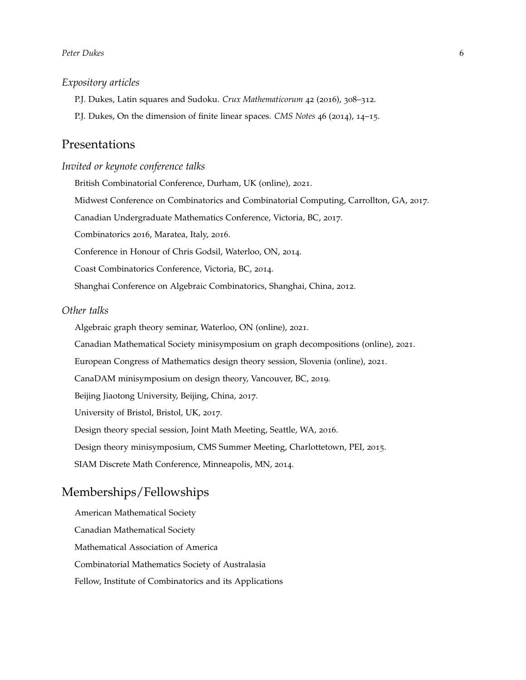## *Expository articles*

P.J. Dukes, Latin squares and Sudoku. *Crux Mathematicorum* 42 (2016), 308–312.

P.J. Dukes, On the dimension of finite linear spaces. *CMS Notes* 46 (2014), 14–15.

## Presentations

### *Invited or keynote conference talks*

British Combinatorial Conference, Durham, UK (online), 2021.

Midwest Conference on Combinatorics and Combinatorial Computing, Carrollton, GA, 2017.

Canadian Undergraduate Mathematics Conference, Victoria, BC, 2017.

Combinatorics 2016, Maratea, Italy, 2016.

Conference in Honour of Chris Godsil, Waterloo, ON, 2014.

Coast Combinatorics Conference, Victoria, BC, 2014.

Shanghai Conference on Algebraic Combinatorics, Shanghai, China, 2012.

#### *Other talks*

Algebraic graph theory seminar, Waterloo, ON (online), 2021.

Canadian Mathematical Society minisymposium on graph decompositions (online), 2021.

European Congress of Mathematics design theory session, Slovenia (online), 2021.

CanaDAM minisymposium on design theory, Vancouver, BC, 2019.

Beijing Jiaotong University, Beijing, China, 2017.

University of Bristol, Bristol, UK, 2017.

Design theory special session, Joint Math Meeting, Seattle, WA, 2016.

Design theory minisymposium, CMS Summer Meeting, Charlottetown, PEI, 2015.

SIAM Discrete Math Conference, Minneapolis, MN, 2014.

# Memberships/Fellowships

American Mathematical Society Canadian Mathematical Society Mathematical Association of America Combinatorial Mathematics Society of Australasia Fellow, Institute of Combinatorics and its Applications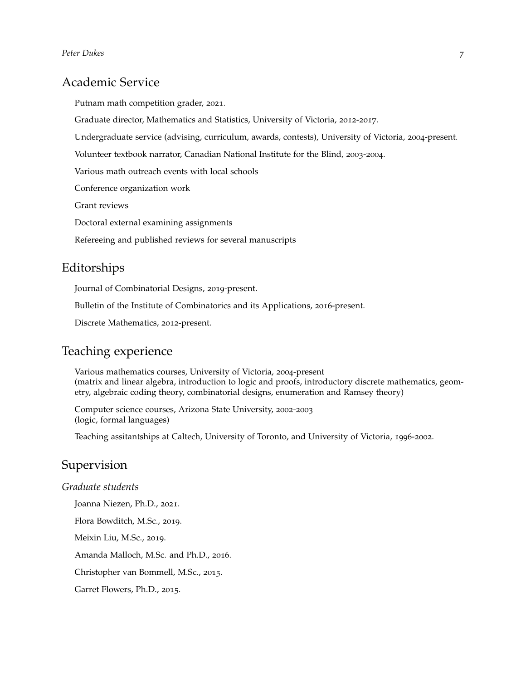# Academic Service

Putnam math competition grader, 2021.

Graduate director, Mathematics and Statistics, University of Victoria, 2012-2017.

Undergraduate service (advising, curriculum, awards, contests), University of Victoria, 2004-present.

Volunteer textbook narrator, Canadian National Institute for the Blind, 2003-2004.

Various math outreach events with local schools

Conference organization work

Grant reviews

Doctoral external examining assignments

Refereeing and published reviews for several manuscripts

## Editorships

Journal of Combinatorial Designs, 2019-present.

Bulletin of the Institute of Combinatorics and its Applications, 2016-present.

Discrete Mathematics, 2012-present.

# Teaching experience

Various mathematics courses, University of Victoria, 2004-present (matrix and linear algebra, introduction to logic and proofs, introductory discrete mathematics, geometry, algebraic coding theory, combinatorial designs, enumeration and Ramsey theory)

Computer science courses, Arizona State University, 2002-2003 (logic, formal languages)

Teaching assitantships at Caltech, University of Toronto, and University of Victoria, 1996-2002.

# Supervision

## *Graduate students*

Joanna Niezen, Ph.D., 2021.

Flora Bowditch, M.Sc., 2019.

Meixin Liu, M.Sc., 2019.

Amanda Malloch, M.Sc. and Ph.D., 2016.

Christopher van Bommell, M.Sc., 2015.

Garret Flowers, Ph.D., 2015.